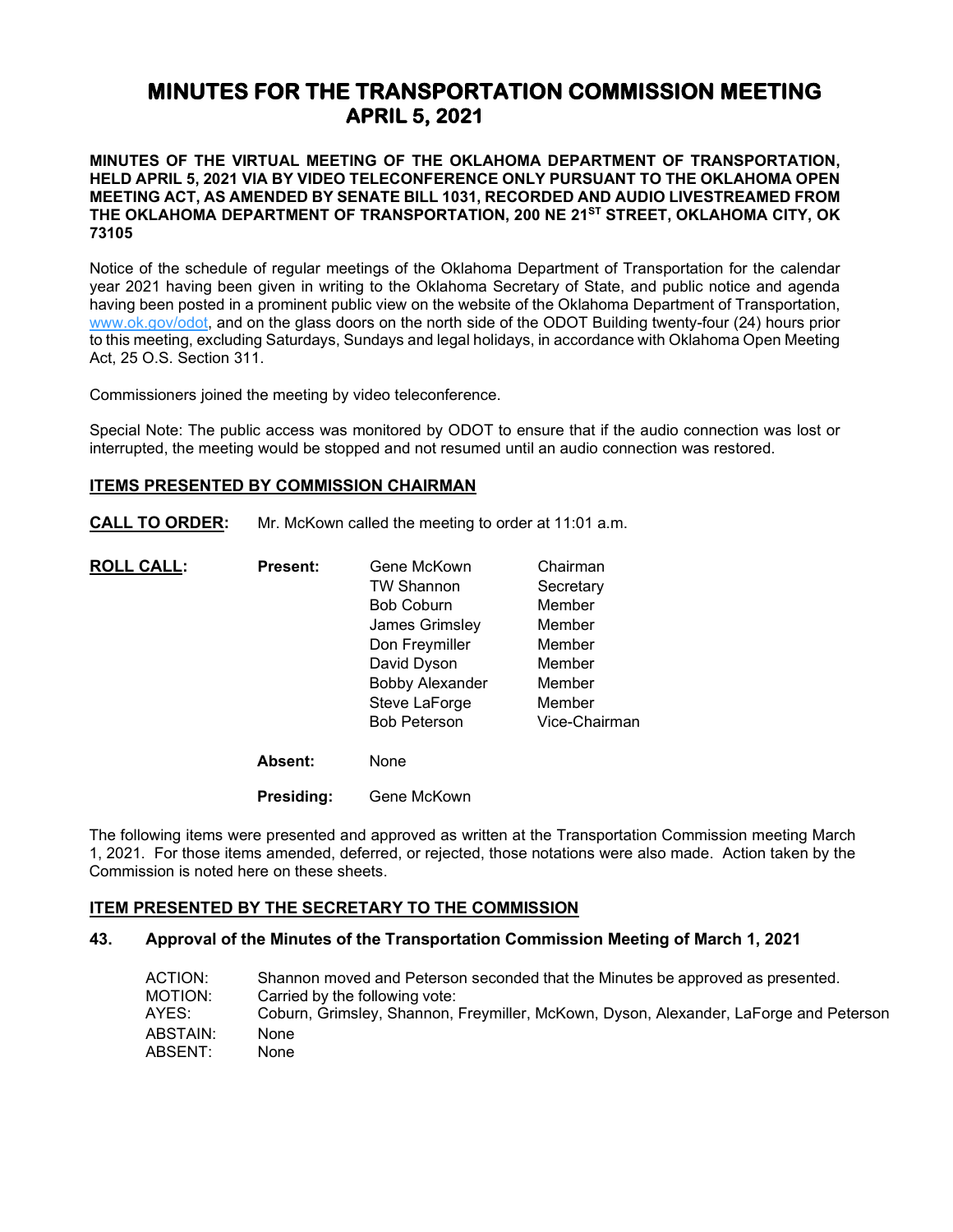# **MINUTES FOR THE TRANSPORTATION COMMISSION MEETING APRIL 5, 2021**

**MINUTES OF THE VIRTUAL MEETING OF THE OKLAHOMA DEPARTMENT OF TRANSPORTATION, HELD APRIL 5, 2021 VIA BY VIDEO TELECONFERENCE ONLY PURSUANT TO THE OKLAHOMA OPEN MEETING ACT, AS AMENDED BY SENATE BILL 1031, RECORDED AND AUDIO LIVESTREAMED FROM THE OKLAHOMA DEPARTMENT OF TRANSPORTATION, 200 NE 21ST STREET, OKLAHOMA CITY, OK 73105**

Notice of the schedule of regular meetings of the Oklahoma Department of Transportation for the calendar year 2021 having been given in writing to the Oklahoma Secretary of State, and public notice and agenda having been posted in a prominent public view on the website of the Oklahoma Department of Transportation, [www.ok.gov/odot,](http://www.ok.gov/odot) and on the glass doors on the north side of the ODOT Building twenty-four (24) hours prior to this meeting, excluding Saturdays, Sundays and legal holidays, in accordance with Oklahoma Open Meeting Act, 25 O.S. Section 311.

Commissioners joined the meeting by video teleconference.

Special Note: The public access was monitored by ODOT to ensure that if the audio connection was lost or interrupted, the meeting would be stopped and not resumed until an audio connection was restored.

### **ITEMS PRESENTED BY COMMISSION CHAIRMAN**

**CALL TO ORDER:** Mr. McKown called the meeting to order at 11:01 a.m.

| <b>ROLL CALL:</b> | <b>Present:</b> | Gene McKown            | Chairman      |
|-------------------|-----------------|------------------------|---------------|
|                   |                 | <b>TW Shannon</b>      | Secretary     |
|                   |                 | <b>Bob Coburn</b>      | Member        |
|                   |                 | James Grimsley         | Member        |
|                   |                 | Don Freymiller         | Member        |
|                   |                 | David Dyson            | Member        |
|                   |                 | <b>Bobby Alexander</b> | Member        |
|                   |                 | Steve LaForge          | Member        |
|                   |                 | <b>Bob Peterson</b>    | Vice-Chairman |
|                   | Absent:         | None                   |               |
|                   |                 |                        |               |

**Presiding:** Gene McKown

The following items were presented and approved as written at the Transportation Commission meeting March 1, 2021. For those items amended, deferred, or rejected, those notations were also made. Action taken by the Commission is noted here on these sheets.

### **ITEM PRESENTED BY THE SECRETARY TO THE COMMISSION**

### **43. Approval of the Minutes of the Transportation Commission Meeting of March 1, 2021**

| ACTION:  | Shannon moved and Peterson seconded that the Minutes be approved as presented.        |
|----------|---------------------------------------------------------------------------------------|
| MOTION:  | Carried by the following vote:                                                        |
| AYES:    | Coburn, Grimsley, Shannon, Freymiller, McKown, Dyson, Alexander, LaForge and Peterson |
| ABSTAIN: | None                                                                                  |
| ABSENT:  | None                                                                                  |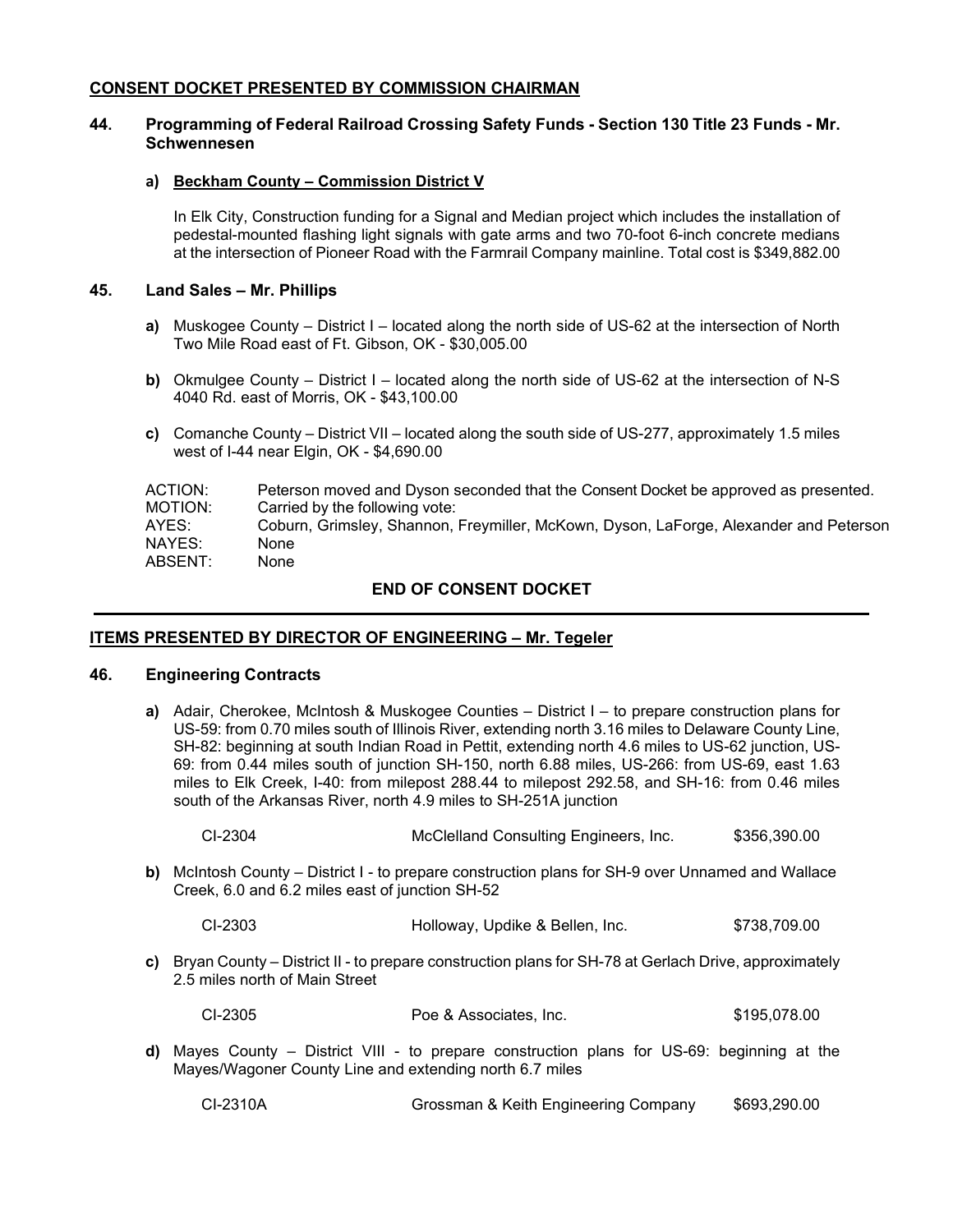## **CONSENT DOCKET PRESENTED BY COMMISSION CHAIRMAN**

### **44. Programming of Federal Railroad Crossing Safety Funds - Section 130 Title 23 Funds - Mr. Schwennesen**

### **a) Beckham County – Commission District V**

In Elk City, Construction funding for a Signal and Median project which includes the installation of pedestal-mounted flashing light signals with gate arms and two 70-foot 6-inch concrete medians at the intersection of Pioneer Road with the Farmrail Company mainline. Total cost is \$349,882.00

### **45. Land Sales – Mr. Phillips**

- **a)** Muskogee County District I located along the north side of US-62 at the intersection of North Two Mile Road east of Ft. Gibson, OK - \$30,005.00
- **b)** Okmulgee County District I located along the north side of US-62 at the intersection of N-S 4040 Rd. east of Morris, OK - \$43,100.00
- **c)** Comanche County District VII located along the south side of US-277, approximately 1.5 miles west of I-44 near Elgin, OK - \$4,690.00

| ACTION: | Peterson moved and Dyson seconded that the Consent Docket be approved as presented.   |
|---------|---------------------------------------------------------------------------------------|
| MOTION: | Carried by the following vote:                                                        |
| AYES:   | Coburn, Grimsley, Shannon, Freymiller, McKown, Dyson, LaForge, Alexander and Peterson |
| NAYES:  | None                                                                                  |
| ABSENT: | None                                                                                  |
|         |                                                                                       |

## **END OF CONSENT DOCKET**

## **ITEMS PRESENTED BY DIRECTOR OF ENGINEERING – Mr. Tegeler**

## **46. Engineering Contracts**

**a)** Adair, Cherokee, McIntosh & Muskogee Counties – District I – to prepare construction plans for US-59: from 0.70 miles south of Illinois River, extending north 3.16 miles to Delaware County Line, SH-82: beginning at south Indian Road in Pettit, extending north 4.6 miles to US-62 junction, US-69: from 0.44 miles south of junction SH-150, north 6.88 miles, US-266: from US-69, east 1.63 miles to Elk Creek, I-40: from milepost 288.44 to milepost 292.58, and SH-16: from 0.46 miles south of the Arkansas River, north 4.9 miles to SH-251A junction

| CI-2304 | McClelland Consulting Engineers, Inc. | \$356,390.00 |
|---------|---------------------------------------|--------------|
|---------|---------------------------------------|--------------|

- **b)** McIntosh County District I to prepare construction plans for SH-9 over Unnamed and Wallace Creek, 6.0 and 6.2 miles east of junction SH-52
	- CI-2303 Holloway, Updike & Bellen, Inc. \$738,709.00
- **c)** Bryan County District II to prepare construction plans for SH-78 at Gerlach Drive, approximately 2.5 miles north of Main Street

| CI-2305 | Poe & Associates, Inc. | \$195,078.00 |
|---------|------------------------|--------------|
|---------|------------------------|--------------|

**d)** Mayes County – District VIII - to prepare construction plans for US-69: beginning at the Mayes/Wagoner County Line and extending north 6.7 miles

CI-2310A Grossman & Keith Engineering Company \$693,290.00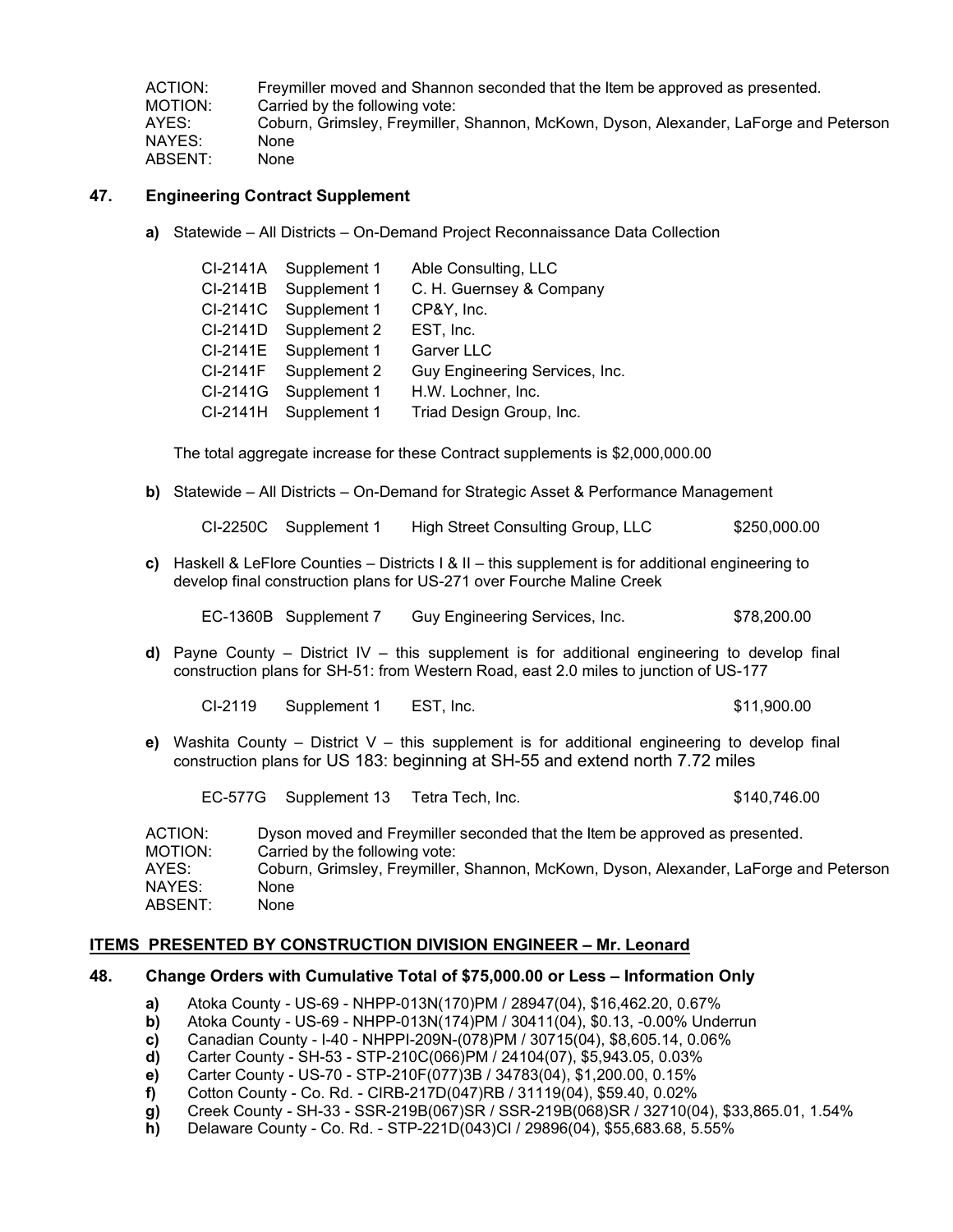ACTION: Freymiller moved and Shannon seconded that the Item be approved as presented. MOTION: Carried by the following vote: AYES: Coburn, Grimsley, Freymiller, Shannon, McKown, Dyson, Alexander, LaForge and Peterson NAYES: None ABSENT: None

## **47. Engineering Contract Supplement**

**a)** Statewide – All Districts – On-Demand Project Reconnaissance Data Collection

| CI-2141A | Supplement 1 | Able Consulting, LLC           |
|----------|--------------|--------------------------------|
| CI-2141B | Supplement 1 | C. H. Guernsey & Company       |
| CI-2141C | Supplement 1 | CP&Y, Inc.                     |
| CI-2141D | Supplement 2 | EST, Inc.                      |
| CI-2141E | Supplement 1 | <b>Garver LLC</b>              |
| CI-2141F | Supplement 2 | Guy Engineering Services, Inc. |
| CI-2141G | Supplement 1 | H.W. Lochner, Inc.             |
| CI-2141H | Supplement 1 | Triad Design Group, Inc.       |

The total aggregate increase for these Contract supplements is \$2,000,000.00

**b)** Statewide – All Districts – On-Demand for Strategic Asset & Performance Management

CI-2250C Supplement 1 High Street Consulting Group, LLC \$250,000.00

**c)** Haskell & LeFlore Counties – Districts I & II – this supplement is for additional engineering to develop final construction plans for US-271 over Fourche Maline Creek

EC-1360B Supplement 7 Guy Engineering Services, Inc. \$78,200.00

**d)** Payne County – District IV – this supplement is for additional engineering to develop final construction plans for SH-51: from Western Road, east 2.0 miles to junction of US-177

CI-2119 Supplement 1 EST, Inc. \$11,900.00

**e)** Washita County – District V – this supplement is for additional engineering to develop final construction plans for US 183: beginning at SH-55 and extend north 7.72 miles

EC-577G Supplement 13 Tetra Tech, Inc. 6140,746.00

| ACTION: | Dyson moved and Freymiller seconded that the Item be approved as presented.           |
|---------|---------------------------------------------------------------------------------------|
| MOTION: | Carried by the following vote:                                                        |
| AYES:   | Coburn, Grimsley, Freymiller, Shannon, McKown, Dyson, Alexander, LaForge and Peterson |
| NAYES:  | None                                                                                  |
| ABSENT: | None                                                                                  |

### **ITEMS PRESENTED BY CONSTRUCTION DIVISION ENGINEER – Mr. Leonard**

## **48. Change Orders with Cumulative Total of \$75,000.00 or Less – Information Only**

- **a)** Atoka County US-69 NHPP-013N(170)PM / 28947(04), \$16,462.20, 0.67%
- **b)** Atoka County US-69 NHPP-013N(174)PM / 30411(04), \$0.13, -0.00% Underrun
- **c)** Canadian County I-40 NHPPI-209N-(078)PM / 30715(04), \$8,605.14, 0.06%
- **d)** Carter County SH-53 STP-210C(066)PM / 24104(07), \$5,943.05, 0.03%
- **e)** Carter County US-70 STP-210F(077)3B / 34783(04), \$1,200.00, 0.15%
- **f)** Cotton County Co. Rd. CIRB-217D(047)RB / 31119(04), \$59.40, 0.02%
- **g)** Creek County SH-33 SSR-219B(067)SR / SSR-219B(068)SR / 32710(04), \$33,865.01, 1.54%
- **h)** Delaware County Co. Rd. STP-221D(043)CI / 29896(04), \$55,683.68, 5.55%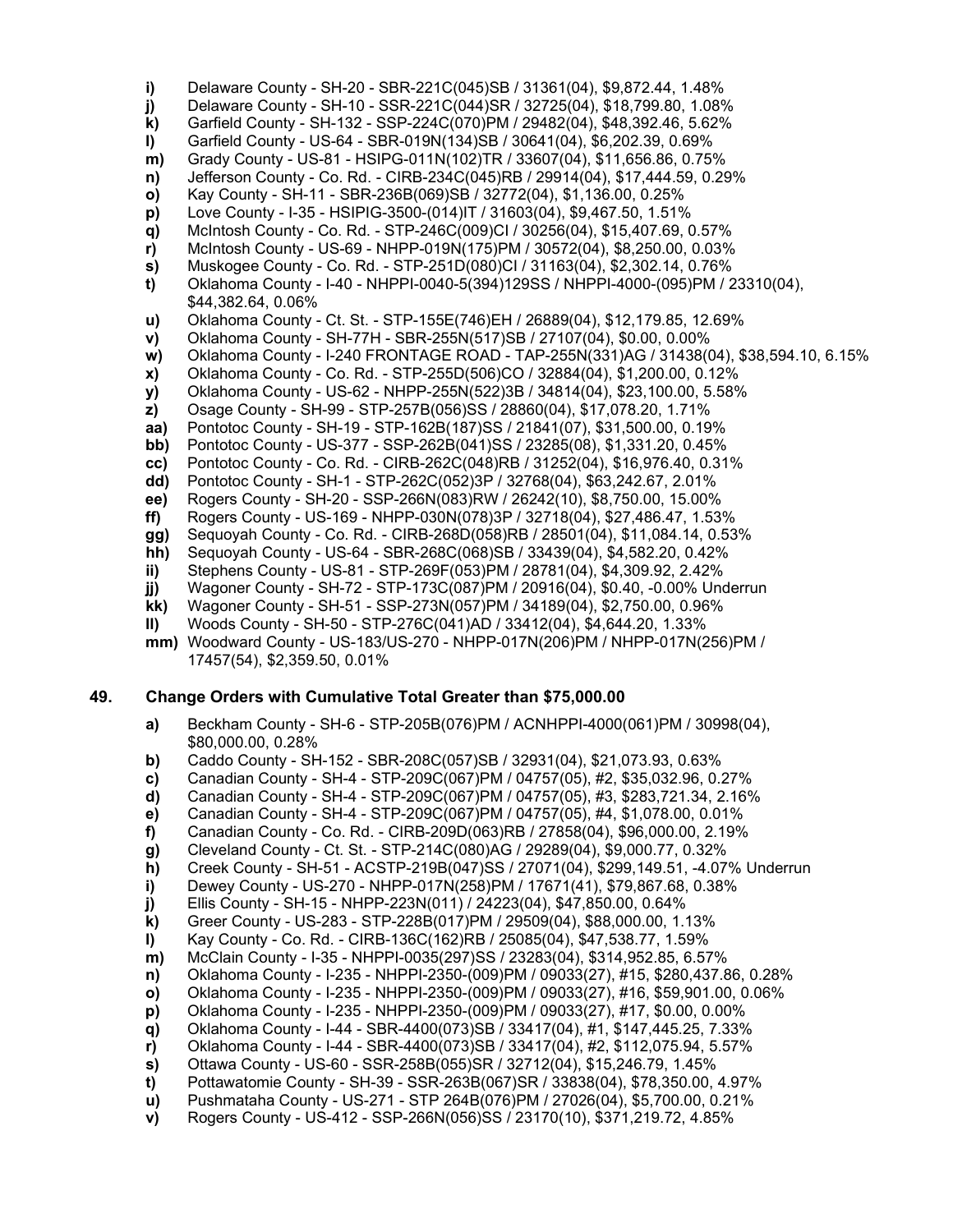**i)** Delaware County - SH-20 - SBR-221C(045)SB / 31361(04), \$9,872.44, 1.48% **j)** Delaware County - SH-10 - SSR-221C(044)SR / 32725(04), \$18,799.80, 1.08% **k)** Garfield County - SH-132 - SSP-224C(070)PM / 29482(04), \$48,392.46, 5.62% **l)** Garfield County - US-64 - SBR-019N(134)SB / 30641(04), \$6,202.39, 0.69% **m)** Grady County - US-81 - HSIPG-011N(102)TR / 33607(04), \$11,656.86, 0.75% **n)** Jefferson County - Co. Rd. - CIRB-234C(045)RB / 29914(04), \$17,444.59, 0.29% **o)** Kay County - SH-11 - SBR-236B(069)SB / 32772(04), \$1,136.00, 0.25% **p)** Love County - I-35 - HSIPIG-3500-(014)IT / 31603(04), \$9,467.50, 1.51% **q)** McIntosh County - Co. Rd. - STP-246C(009)CI / 30256(04), \$15,407.69, 0.57% **r)** McIntosh County - US-69 - NHPP-019N(175)PM / 30572(04), \$8,250.00, 0.03% **s)** Muskogee County - Co. Rd. - STP-251D(080)CI / 31163(04), \$2,302.14, 0.76% **t)** Oklahoma County - I-40 - NHPPI-0040-5(394)129SS / NHPPI-4000-(095)PM / 23310(04), \$44,382.64, 0.06% **u)** Oklahoma County - Ct. St. - STP-155E(746)EH / 26889(04), \$12,179.85, 12.69% **v)** Oklahoma County - SH-77H - SBR-255N(517)SB / 27107(04), \$0.00, 0.00% **w)** Oklahoma County - I-240 FRONTAGE ROAD - TAP-255N(331)AG / 31438(04), \$38,594.10, 6.15% **x)** Oklahoma County - Co. Rd. - STP-255D(506)CO / 32884(04), \$1,200.00, 0.12% **y)** Oklahoma County - US-62 - NHPP-255N(522)3B / 34814(04), \$23,100.00, 5.58% **z)** Osage County - SH-99 - STP-257B(056)SS / 28860(04), \$17,078.20, 1.71% **aa)** Pontotoc County - SH-19 - STP-162B(187)SS / 21841(07), \$31,500.00, 0.19% **bb)** Pontotoc County - US-377 - SSP-262B(041)SS / 23285(08), \$1,331.20, 0.45% **cc)** Pontotoc County - Co. Rd. - CIRB-262C(048)RB / 31252(04), \$16,976.40, 0.31% **dd)** Pontotoc County - SH-1 - STP-262C(052)3P / 32768(04), \$63,242.67, 2.01% **ee)** Rogers County - SH-20 - SSP-266N(083)RW / 26242(10), \$8,750.00, 15.00% **ff)** Rogers County - US-169 - NHPP-030N(078)3P / 32718(04), \$27,486.47, 1.53% **gg)** Sequoyah County - Co. Rd. - CIRB-268D(058)RB / 28501(04), \$11,084.14, 0.53% **hh)** Sequoyah County - US-64 - SBR-268C(068)SB / 33439(04), \$4,582.20, 0.42% **ii)** Stephens County - US-81 - STP-269F(053)PM / 28781(04), \$4,309.92, 2.42%

- **jj)** Wagoner County SH-72 STP-173C(087)PM / 20916(04), \$0.40, -0.00% Underrun **kk)** Wagoner County - SH-51 - SSP-273N(057)PM / 34189(04), \$2,750.00, 0.96%
- **ll)** Woods County SH-50 STP-276C(041)AD / 33412(04), \$4,644.20, 1.33%
- **mm)** Woodward County US-183/US-270 NHPP-017N(206)PM / NHPP-017N(256)PM / 17457(54), \$2,359.50, 0.01%

### **49. Change Orders with Cumulative Total Greater than \$75,000.00**

- **a)** Beckham County SH-6 STP-205B(076)PM / ACNHPPI-4000(061)PM / 30998(04), \$80,000.00, 0.28%
- **b)** Caddo County SH-152 SBR-208C(057)SB / 32931(04), \$21,073.93, 0.63%
- **c)** Canadian County SH-4 STP-209C(067)PM / 04757(05), #2, \$35,032.96, 0.27%
- **d)** Canadian County SH-4 STP-209C(067)PM / 04757(05), #3, \$283,721.34, 2.16%
- **e)** Canadian County SH-4 STP-209C(067)PM / 04757(05), #4, \$1,078.00, 0.01%
- **f)** Canadian County Co. Rd. CIRB-209D(063)RB / 27858(04), \$96,000.00, 2.19%
- **g)** Cleveland County Ct. St. STP-214C(080)AG / 29289(04), \$9,000.77, 0.32%
- **h)** Creek County SH-51 ACSTP-219B(047)SS / 27071(04), \$299,149.51, -4.07% Underrun
- **i)** Dewey County US-270 NHPP-017N(258)PM / 17671(41), \$79,867.68, 0.38%
- **j)** Ellis County SH-15 NHPP-223N(011) / 24223(04), \$47,850.00, 0.64%
- **k)** Greer County US-283 STP-228B(017)PM / 29509(04), \$88,000.00, 1.13%
- 
- **l)** Kay County Co. Rd. CIRB-136C(162)RB / 25085(04), \$47,538.77, 1.59% **m)** McClain County - I-35 - NHPPI-0035(297)SS / 23283(04), \$314,952.85, 6.57%
- **n)** Oklahoma County I-235 NHPPI-2350-(009)PM / 09033(27), #15, \$280,437.86, 0.28%
- **o)** Oklahoma County I-235 NHPPI-2350-(009)PM / 09033(27), #16, \$59,901.00, 0.06%
- **p)** Oklahoma County I-235 NHPPI-2350-(009)PM / 09033(27), #17, \$0.00, 0.00%
- **q)** Oklahoma County I-44 SBR-4400(073)SB / 33417(04), #1, \$147,445.25, 7.33%
- **r)** Oklahoma County I-44 SBR-4400(073)SB / 33417(04), #2, \$112,075.94, 5.57%
- **s)** Ottawa County US-60 SSR-258B(055)SR / 32712(04), \$15,246.79, 1.45%
- **t)** Pottawatomie County SH-39 SSR-263B(067)SR / 33838(04), \$78,350.00, 4.97%
- **u)** Pushmataha County US-271 STP 264B(076)PM / 27026(04), \$5,700.00, 0.21%
- **v)** Rogers County US-412 SSP-266N(056)SS / 23170(10), \$371,219.72, 4.85%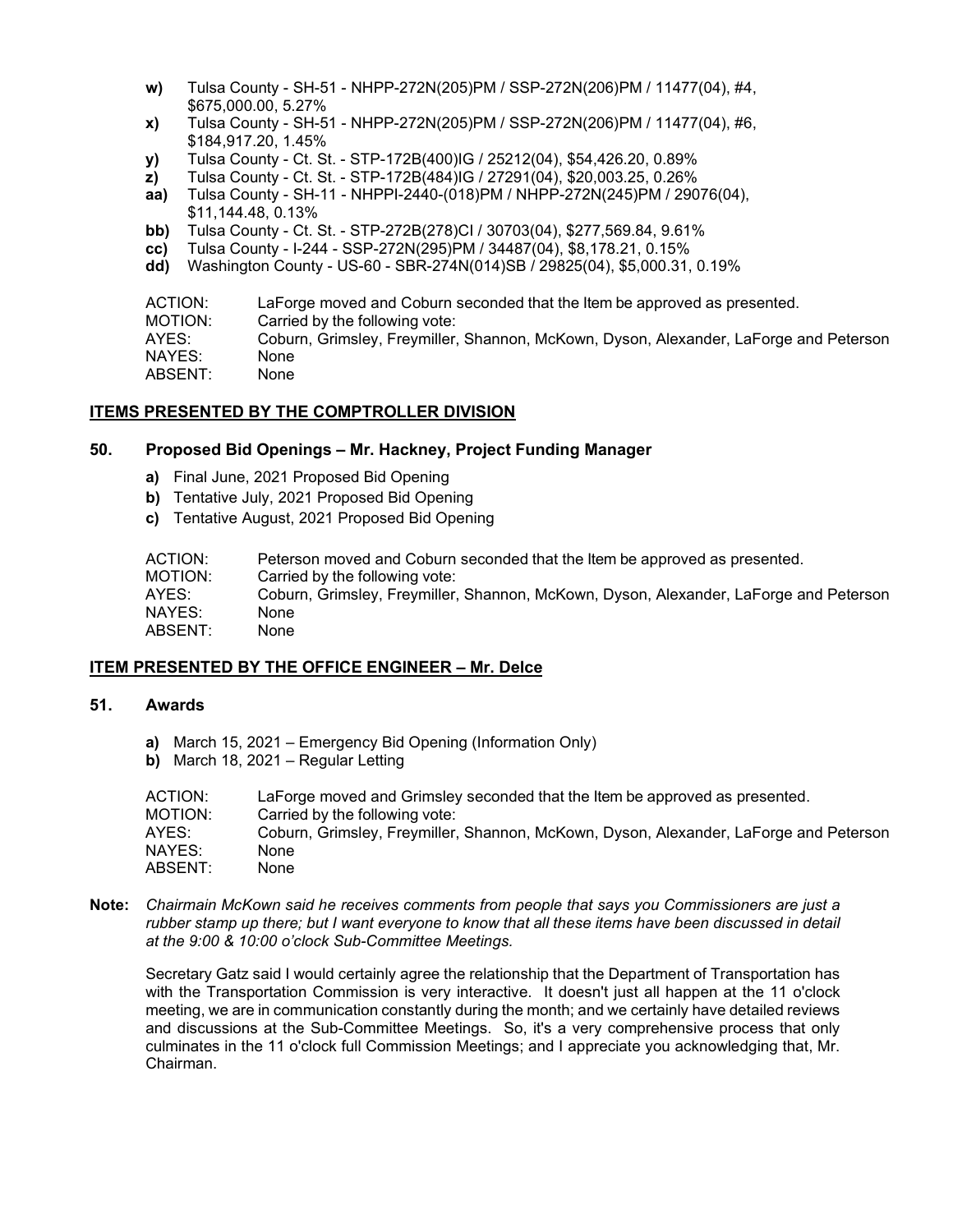- **w)** Tulsa County SH-51 NHPP-272N(205)PM / SSP-272N(206)PM / 11477(04), #4, \$675,000.00, 5.27%
- **x)** Tulsa County SH-51 NHPP-272N(205)PM / SSP-272N(206)PM / 11477(04), #6, \$184,917.20, 1.45%
- **y)** Tulsa County Ct. St. STP-172B(400)IG / 25212(04), \$54,426.20, 0.89%
- **z)** Tulsa County Ct. St. STP-172B(484)IG / 27291(04), \$20,003.25, 0.26%
- **aa)** Tulsa County SH-11 NHPPI-2440-(018)PM / NHPP-272N(245)PM / 29076(04), \$11,144.48, 0.13%
- **bb)** Tulsa County Ct. St. STP-272B(278)CI / 30703(04), \$277,569.84, 9.61%
- **cc)** Tulsa County I-244 SSP-272N(295)PM / 34487(04), \$8,178.21, 0.15%
- **dd)** Washington County US-60 SBR-274N(014)SB / 29825(04), \$5,000.31, 0.19%

ACTION: LaForge moved and Coburn seconded that the Item be approved as presented. MOTION: Carried by the following vote: AYES: Coburn, Grimsley, Freymiller, Shannon, McKown, Dyson, Alexander, LaForge and Peterson NAYES: None ABSENT: None

### **ITEMS PRESENTED BY THE COMPTROLLER DIVISION**

### **50. Proposed Bid Openings – Mr. Hackney, Project Funding Manager**

- **a)** Final June, 2021 Proposed Bid Opening
- **b)** Tentative July, 2021 Proposed Bid Opening
- **c)** Tentative August, 2021 Proposed Bid Opening

| ACTION:  | Peterson moved and Coburn seconded that the Item be approved as presented.            |
|----------|---------------------------------------------------------------------------------------|
| MOTION:  | Carried by the following vote:                                                        |
| AYES:    | Coburn, Grimsley, Freymiller, Shannon, McKown, Dyson, Alexander, LaForge and Peterson |
| NAYES: I | None                                                                                  |
| ABSENT:  | None                                                                                  |

### **ITEM PRESENTED BY THE OFFICE ENGINEER – Mr. Delce**

## **51. Awards**

- **a)** March 15, 2021 Emergency Bid Opening (Information Only)
- **b)** March 18, 2021 Regular Letting

| ACTION: | LaForge moved and Grimsley seconded that the Item be approved as presented.           |
|---------|---------------------------------------------------------------------------------------|
| MOTION: | Carried by the following vote:                                                        |
| AYES:   | Coburn, Grimsley, Freymiller, Shannon, McKown, Dyson, Alexander, LaForge and Peterson |
| NAYES:  | None                                                                                  |
| ABSENT: | None                                                                                  |

**Note:** *Chairmain McKown said he receives comments from people that says you Commissioners are just a rubber stamp up there; but I want everyone to know that all these items have been discussed in detail at the 9:00 & 10:00 o'clock Sub-Committee Meetings.* 

Secretary Gatz said I would certainly agree the relationship that the Department of Transportation has with the Transportation Commission is very interactive. It doesn't just all happen at the 11 o'clock meeting, we are in communication constantly during the month; and we certainly have detailed reviews and discussions at the Sub-Committee Meetings. So, it's a very comprehensive process that only culminates in the 11 o'clock full Commission Meetings; and I appreciate you acknowledging that, Mr. Chairman.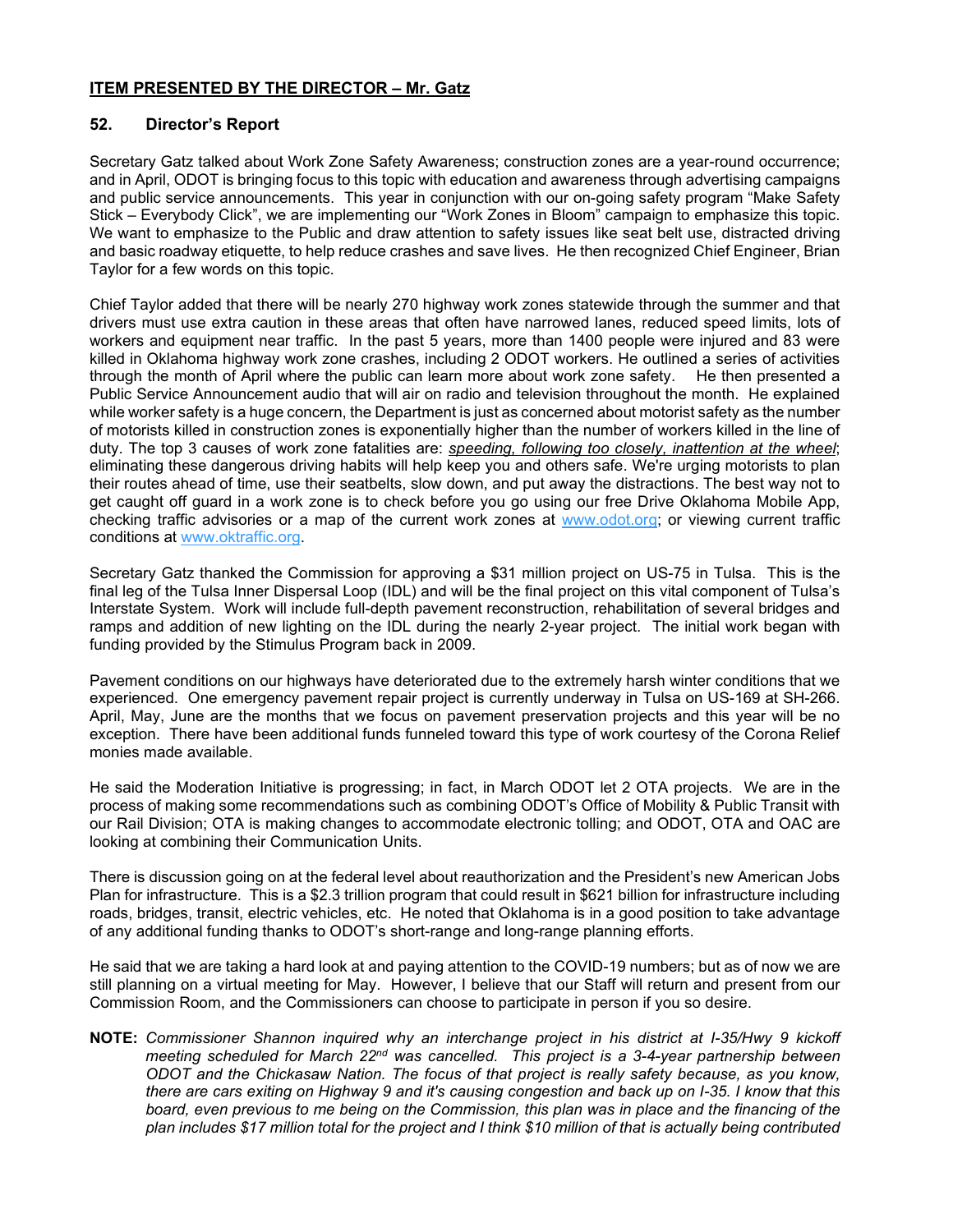## **ITEM PRESENTED BY THE DIRECTOR – Mr. Gatz**

## **52. Director's Report**

Secretary Gatz talked about Work Zone Safety Awareness; construction zones are a year-round occurrence; and in April, ODOT is bringing focus to this topic with education and awareness through advertising campaigns and public service announcements. This year in conjunction with our on-going safety program "Make Safety Stick – Everybody Click", we are implementing our "Work Zones in Bloom" campaign to emphasize this topic. We want to emphasize to the Public and draw attention to safety issues like seat belt use, distracted driving and basic roadway etiquette, to help reduce crashes and save lives. He then recognized Chief Engineer, Brian Taylor for a few words on this topic.

Chief Taylor added that there will be nearly 270 highway work zones statewide through the summer and that drivers must use extra caution in these areas that often have narrowed lanes, reduced speed limits, lots of workers and equipment near traffic. In the past 5 years, more than 1400 people were injured and 83 were killed in Oklahoma highway work zone crashes, including 2 ODOT workers. He outlined a series of activities through the month of April where the public can learn more about work zone safety. He then presented a Public Service Announcement audio that will air on radio and television throughout the month. He explained while worker safety is a huge concern, the Department is just as concerned about motorist safety as the number of motorists killed in construction zones is exponentially higher than the number of workers killed in the line of duty. The top 3 causes of work zone fatalities are: *speeding, following too closely, inattention at the wheel*; eliminating these dangerous driving habits will help keep you and others safe. We're urging motorists to plan their routes ahead of time, use their seatbelts, slow down, and put away the distractions. The best way not to get caught off guard in a work zone is to check before you go using our free Drive Oklahoma Mobile App, checking traffic advisories or a map of the current work zones at [www.odot.org;](http://www.odot.org/) or viewing current traffic conditions at [www.oktraffic.org.](http://www.oktraffic.org/)

Secretary Gatz thanked the Commission for approving a \$31 million project on US-75 in Tulsa. This is the final leg of the Tulsa Inner Dispersal Loop (IDL) and will be the final project on this vital component of Tulsa's Interstate System. Work will include full-depth pavement reconstruction, rehabilitation of several bridges and ramps and addition of new lighting on the IDL during the nearly 2-year project. The initial work began with funding provided by the Stimulus Program back in 2009.

Pavement conditions on our highways have deteriorated due to the extremely harsh winter conditions that we experienced. One emergency pavement repair project is currently underway in Tulsa on US-169 at SH-266. April, May, June are the months that we focus on pavement preservation projects and this year will be no exception. There have been additional funds funneled toward this type of work courtesy of the Corona Relief monies made available.

He said the Moderation Initiative is progressing; in fact, in March ODOT let 2 OTA projects. We are in the process of making some recommendations such as combining ODOT's Office of Mobility & Public Transit with our Rail Division; OTA is making changes to accommodate electronic tolling; and ODOT, OTA and OAC are looking at combining their Communication Units.

There is discussion going on at the federal level about reauthorization and the President's new American Jobs Plan for infrastructure. This is a \$2.3 trillion program that could result in \$621 billion for infrastructure including roads, bridges, transit, electric vehicles, etc. He noted that Oklahoma is in a good position to take advantage of any additional funding thanks to ODOT's short-range and long-range planning efforts.

He said that we are taking a hard look at and paying attention to the COVID-19 numbers; but as of now we are still planning on a virtual meeting for May. However, I believe that our Staff will return and present from our Commission Room, and the Commissioners can choose to participate in person if you so desire.

**NOTE:** *Commissioner Shannon inquired why an interchange project in his district at I-35/Hwy 9 kickoff meeting scheduled for March 22nd was cancelled. This project is a 3-4-year partnership between ODOT and the Chickasaw Nation. The focus of that project is really safety because, as you know, there are cars exiting on Highway 9 and it's causing congestion and back up on I-35. I know that this*  board, even previous to me being on the Commission, this plan was in place and the financing of the *plan includes \$17 million total for the project and I think \$10 million of that is actually being contributed*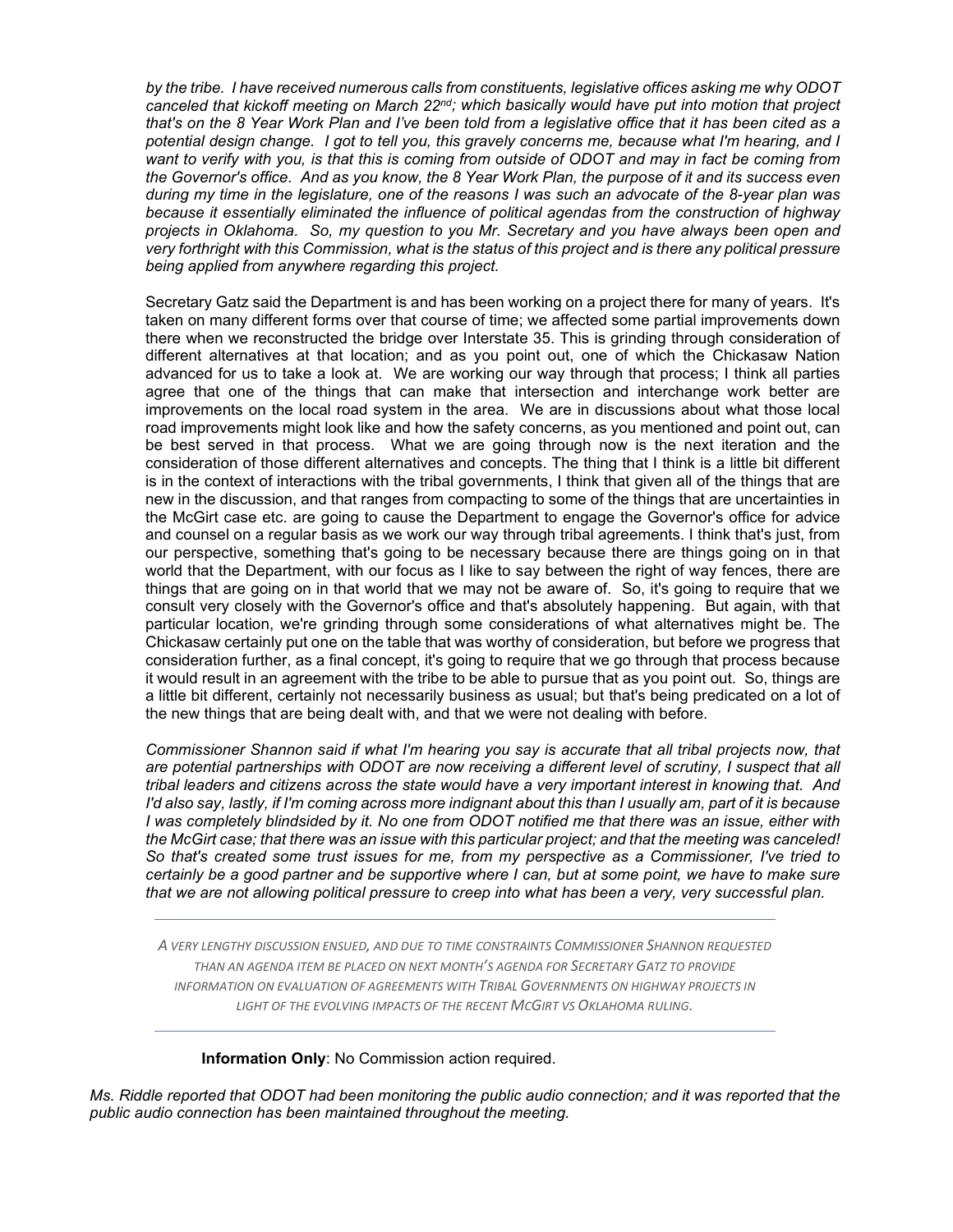*by the tribe. I have received numerous calls from constituents, legislative offices asking me why ODOT canceled that kickoff meeting on March 22nd; which basically would have put into motion that project that's on the 8 Year Work Plan and I've been told from a legislative office that it has been cited as a potential design change. I got to tell you, this gravely concerns me, because what I'm hearing, and I want to verify with you, is that this is coming from outside of ODOT and may in fact be coming from the Governor's office. And as you know, the 8 Year Work Plan, the purpose of it and its success even during my time in the legislature, one of the reasons I was such an advocate of the 8-year plan was because it essentially eliminated the influence of political agendas from the construction of highway projects in Oklahoma. So, my question to you Mr. Secretary and you have always been open and very forthright with this Commission, what is the status of this project and is there any political pressure being applied from anywhere regarding this project.*

Secretary Gatz said the Department is and has been working on a project there for many of years. It's taken on many different forms over that course of time; we affected some partial improvements down there when we reconstructed the bridge over Interstate 35. This is grinding through consideration of different alternatives at that location; and as you point out, one of which the Chickasaw Nation advanced for us to take a look at. We are working our way through that process; I think all parties agree that one of the things that can make that intersection and interchange work better are improvements on the local road system in the area. We are in discussions about what those local road improvements might look like and how the safety concerns, as you mentioned and point out, can be best served in that process. What we are going through now is the next iteration and the consideration of those different alternatives and concepts. The thing that I think is a little bit different is in the context of interactions with the tribal governments, I think that given all of the things that are new in the discussion, and that ranges from compacting to some of the things that are uncertainties in the McGirt case etc. are going to cause the Department to engage the Governor's office for advice and counsel on a regular basis as we work our way through tribal agreements. I think that's just, from our perspective, something that's going to be necessary because there are things going on in that world that the Department, with our focus as I like to say between the right of way fences, there are things that are going on in that world that we may not be aware of. So, it's going to require that we consult very closely with the Governor's office and that's absolutely happening. But again, with that particular location, we're grinding through some considerations of what alternatives might be. The Chickasaw certainly put one on the table that was worthy of consideration, but before we progress that consideration further, as a final concept, it's going to require that we go through that process because it would result in an agreement with the tribe to be able to pursue that as you point out. So, things are a little bit different, certainly not necessarily business as usual; but that's being predicated on a lot of the new things that are being dealt with, and that we were not dealing with before.

*Commissioner Shannon said if what I'm hearing you say is accurate that all tribal projects now, that are potential partnerships with ODOT are now receiving a different level of scrutiny, I suspect that all tribal leaders and citizens across the state would have a very important interest in knowing that. And I'd also say, lastly, if I'm coming across more indignant about this than I usually am, part of it is because I was completely blindsided by it. No one from ODOT notified me that there was an issue, either with the McGirt case; that there was an issue with this particular project; and that the meeting was canceled! So that's created some trust issues for me, from my perspective as a Commissioner, I've tried to certainly be a good partner and be supportive where I can, but at some point, we have to make sure that we are not allowing political pressure to creep into what has been a very, very successful plan.* 

*A VERY LENGTHY DISCUSSION ENSUED, AND DUE TO TIME CONSTRAINTS COMMISSIONER SHANNON REQUESTED THAN AN AGENDA ITEM BE PLACED ON NEXT MONTH'S AGENDA FOR SECRETARY GATZ TO PROVIDE INFORMATION ON EVALUATION OF AGREEMENTS WITH TRIBAL GOVERNMENTS ON HIGHWAY PROJECTS IN LIGHT OF THE EVOLVING IMPACTS OF THE RECENT MCGIRT VS OKLAHOMA RULING.*

**Information Only**: No Commission action required.

*Ms. Riddle reported that ODOT had been monitoring the public audio connection; and it was reported that the public audio connection has been maintained throughout the meeting.*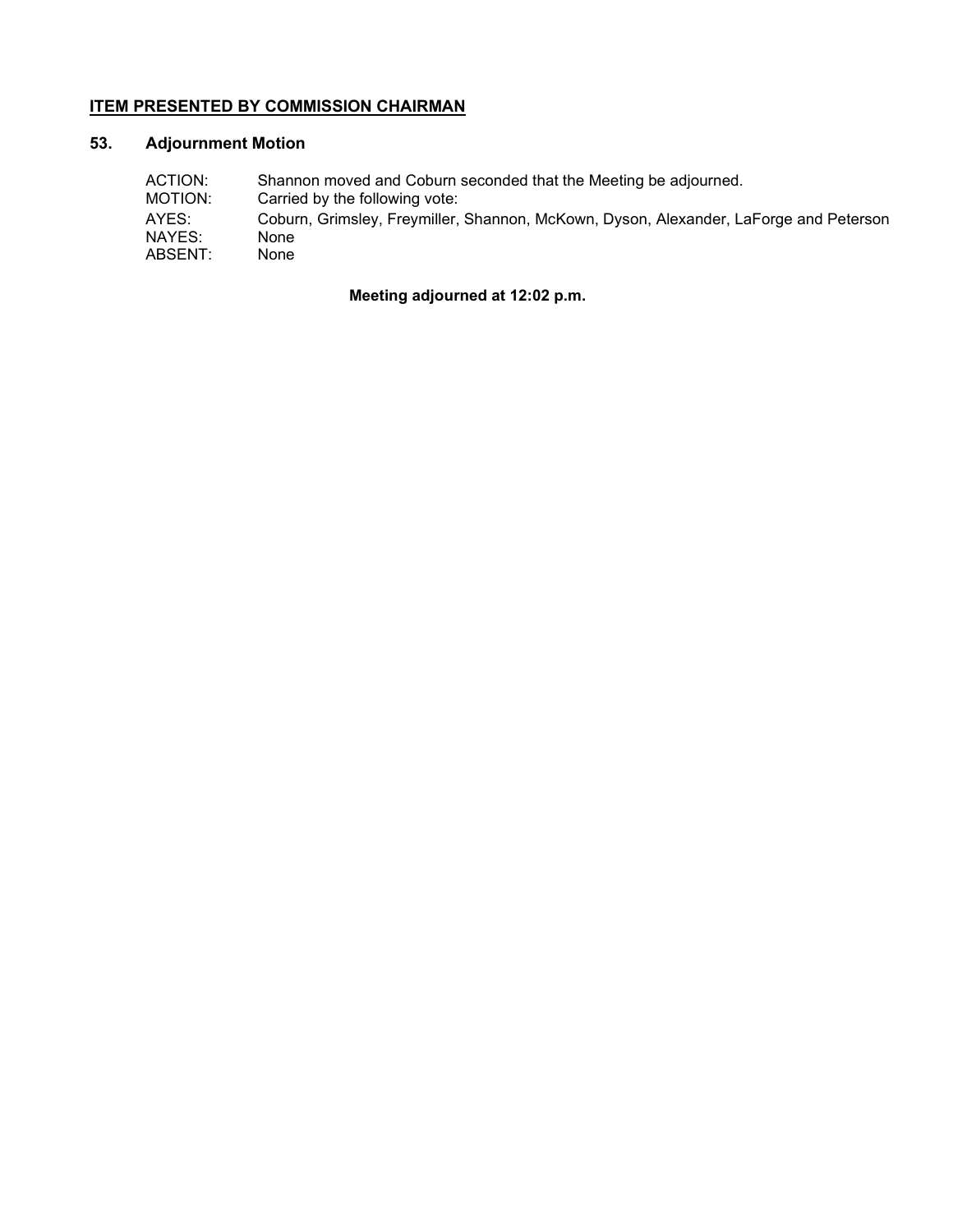## **ITEM PRESENTED BY COMMISSION CHAIRMAN**

## **53. Adjournment Motion**

| ACTION: | Shannon moved and Coburn seconded that the Meeting be adjourned.                      |
|---------|---------------------------------------------------------------------------------------|
| MOTION: | Carried by the following vote:                                                        |
| AYES:   | Coburn, Grimsley, Freymiller, Shannon, McKown, Dyson, Alexander, LaForge and Peterson |
| NAYES:  | None                                                                                  |
| ABSENT: | None                                                                                  |

## **Meeting adjourned at 12:02 p.m.**